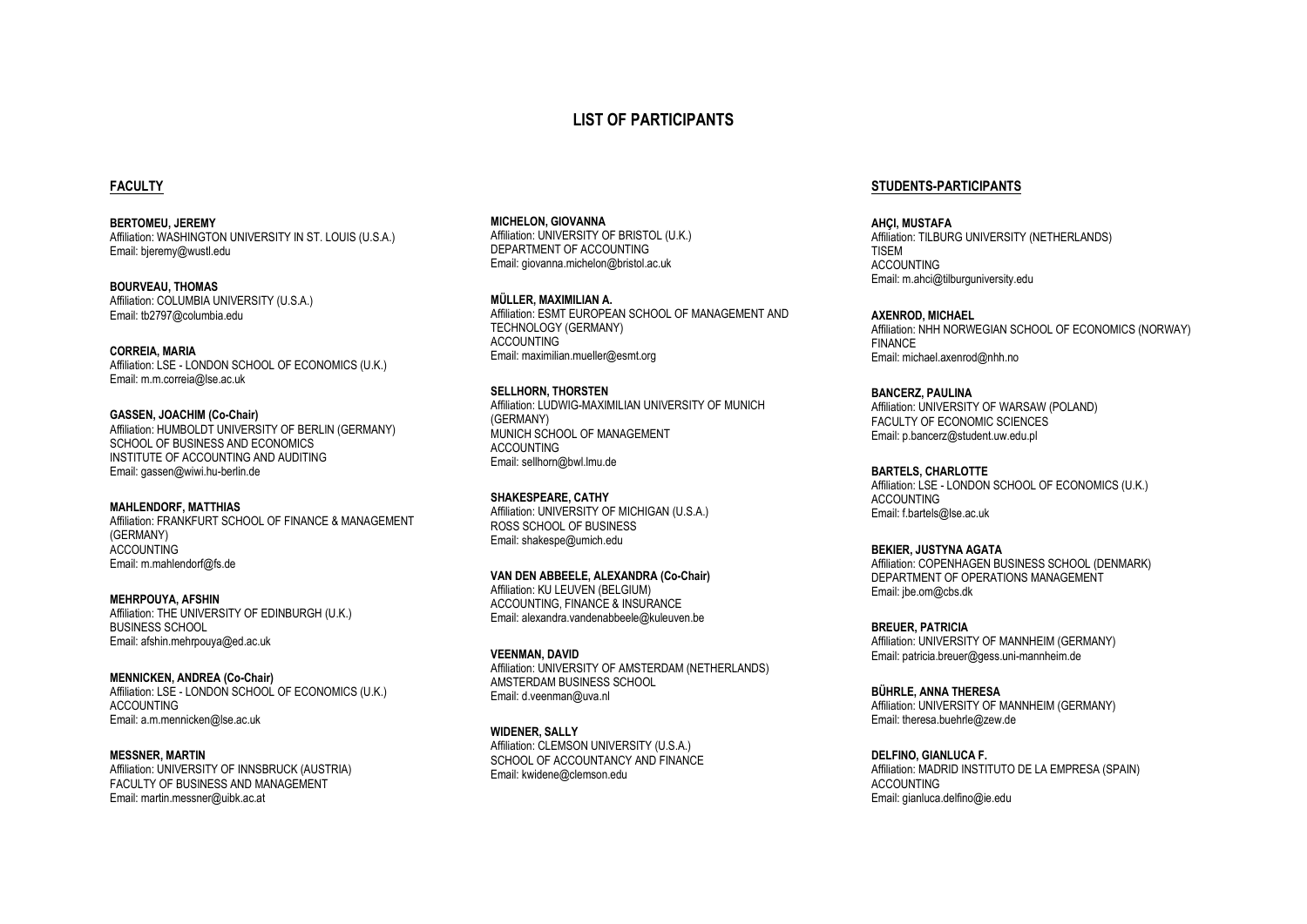# **LIST OF PARTICIPANTS**

# **FACULTY**

**BERTOMEU, JEREMY** Affiliation: WASHINGTON UNIVERSITY IN ST. LOUIS (U.S.A.) Email: bjeremy@wustl.edu

**BOURVEAU, THOMAS** Affiliation: COLUMBIA UNIVERSITY (U.S.A.) Email: tb2797@columbia.edu

**CORREIA, MARIA** Affiliation: LSE - LONDON SCHOOL OF ECONOMICS (U.K.) Email: m.m.correia@lse.ac.uk

**GASSEN, JOACHIM (Co-Chair)** Affiliation: HUMBOLDT UNIVERSITY OF BERLIN (GERMANY) SCHOOL OF BUSINESS AND ECONOMICS INSTITUTE OF ACCOUNTING AND AUDITING Email: gassen@wiwi.hu-berlin.de

**MAHLENDORF, MATTHIAS** Affiliation: FRANKFURT SCHOOL OF FINANCE & MANAGEMENT (GERMANY) **ACCOUNTING** Email: m.mahlendorf@fs.de

**MEHRPOUYA, AFSHIN** Affiliation: THE UNIVERSITY OF EDINBURGH (U.K.) BUSINESS SCHOOL Email: afshin.mehrpouya@ed.ac.uk

**MENNICKEN, ANDREA (Co-Chair)** Affiliation: LSE - LONDON SCHOOL OF ECONOMICS (U.K.) ACCOUNTING Email: a.m.mennicken@lse.ac.uk

**MESSNER, MARTIN** Affiliation: UNIVERSITY OF INNSBRUCK (AUSTRIA) FACULTY OF BUSINESS AND MANAGEMENT Email: martin.messner@uibk.ac.at

**MICHELON, GIOVANNA** Affiliation: UNIVERSITY OF BRISTOL (U.K.) DEPARTMENT OF ACCOUNTING Email: giovanna.michelon@bristol.ac.uk

**MÜLLER, MAXIMILIAN A.** Affiliation: ESMT EUROPEAN SCHOOL OF MANAGEMENT AND TECHNOLOGY (GERMANY) ACCOUNTING Email: maximilian.mueller@esmt.org

**SELLHORN, THORSTEN** Affiliation: LUDWIG-MAXIMILIAN UNIVERSITY OF MUNICH (GERMANY) MUNICH SCHOOL OF MANAGEMENT **ACCOUNTING** Email: sellhorn@bwl.lmu.de

**SHAKESPEARE, CATHY** Affiliation: UNIVERSITY OF MICHIGAN (U.S.A.) ROSS SCHOOL OF BUSINESS Email: shakespe@umich.edu

**VAN DEN ABBEELE, ALEXANDRA (Co-Chair)** Affiliation: KU LEUVEN (BELGIUM) ACCOUNTING, FINANCE & INSURANCE Email: alexandra.vandenabbeele@kuleuven.be

**VEENMAN, DAVID** Affiliation: UNIVERSITY OF AMSTERDAM (NETHERLANDS) AMSTERDAM BUSINESS SCHOOL Email: d.veenman@uva.nl

**WIDENER, SALLY** Affiliation: CLEMSON UNIVERSITY (U.S.A.) SCHOOL OF ACCOUNTANCY AND FINANCE Email: kwidene@clemson.edu

#### **STUDENTS-PARTICIPANTS**

**AHÇI, MUSTAFA** Affiliation: TILBURG UNIVERSITY (NETHERLANDS) TISEM ACCOUNTING Email: m.ahci@tilburguniversity.edu

**AXENROD, MICHAEL** Affiliation: NHH NORWEGIAN SCHOOL OF ECONOMICS (NORWAY) FINANCE Email: michael.axenrod@nhh.no

**BANCERZ, PAULINA** Affiliation: UNIVERSITY OF WARSAW (POLAND) FACULTY OF ECONOMIC SCIENCES Email: p.bancerz@student.uw.edu.pl

**BARTELS, CHARLOTTE** Affiliation: LSE - LONDON SCHOOL OF ECONOMICS (U.K.) ACCOUNTING Email: f.bartels@lse.ac.uk

**BEKIER, JUSTYNA AGATA** Affiliation: COPENHAGEN BUSINESS SCHOOL (DENMARK) DEPARTMENT OF OPERATIONS MANAGEMENT Email: jbe.om@cbs.dk

**BREUER, PATRICIA** Affiliation: UNIVERSITY OF MANNHEIM (GERMANY) Email: patricia.breuer@gess.uni-mannheim.de

**BÜHRLE, ANNA THERESA** Affiliation: UNIVERSITY OF MANNHEIM (GERMANY) Email: theresa.buehrle@zew.de

**DELFINO, GIANLUCA F.** Affiliation: MADRID INSTITUTO DE LA EMPRESA (SPAIN) ACCOUNTING Email: gianluca.delfino@ie.edu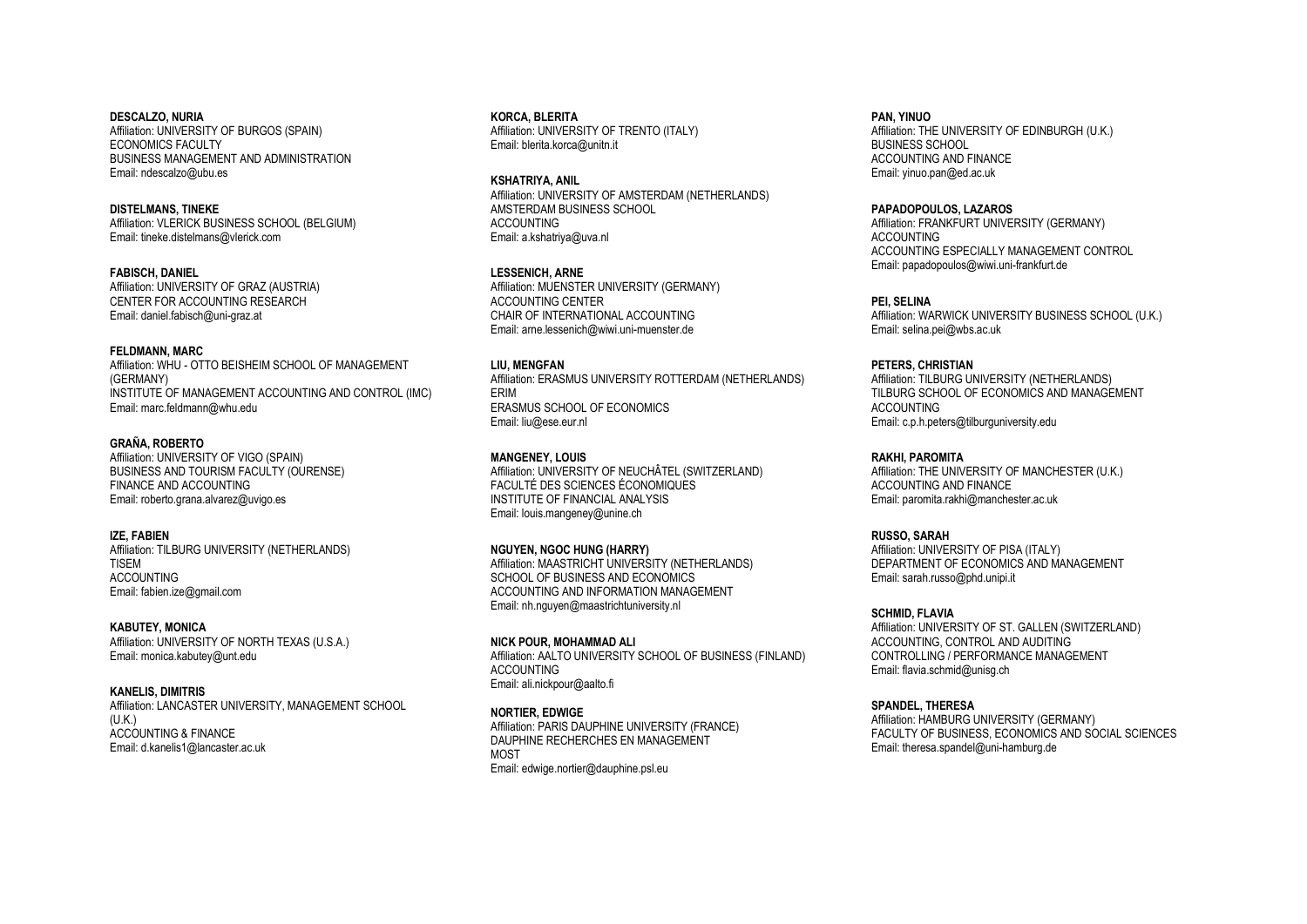**DESCALZO, NURIA** Affiliation: UNIVERSITY OF BURGOS (SPAIN) ECONOMICS FACULTY BUSINESS MANAGEMENT AND ADMINISTRATION Email: ndescalzo@ubu.es

**DISTELMANS, TINEKE** Affiliation: VLERICK BUSINESS SCHOOL (BELGIUM) Email: tineke.distelmans@vlerick.com

**FABISCH, DANIEL** Affiliation: UNIVERSITY OF GRAZ (AUSTRIA) CENTER FOR ACCOUNTING RESEARCH Email: daniel.fabisch@uni-graz.at

# **FELDMANN, MARC**

Affiliation: WHU - OTTO BEISHEIM SCHOOL OF MANAGEMENT (GERMANY) INSTITUTE OF MANAGEMENT ACCOUNTING AND CONTROL (IMC) Email: marc.feldmann@whu.edu

# **GRAÑA, ROBERTO**

Affiliation: UNIVERSITY OF VIGO (SPAIN) BUSINESS AND TOURISM FACULTY (OURENSE) FINANCE AND ACCOUNTING Email: roberto.grana.alvarez@uvigo.es

#### **IZE, FABIEN**

Affiliation: TILBURG UNIVERSITY (NETHERLANDS) TISEM ACCOUNTING Email: fabien.ize@gmail.com

#### **KABUTEY, MONICA**

Affiliation: UNIVERSITY OF NORTH TEXAS (U.S.A.) Email: monica.kabutey@unt.edu

# **KANELIS, DIMITRIS**

Affiliation: LANCASTER UNIVERSITY, MANAGEMENT SCHOOL (U.K.) ACCOUNTING & FINANCE Email: d.kanelis1@lancaster.ac.uk

#### **KORCA, BLERITA**

Affiliation: UNIVERSITY OF TRENTO (ITALY) Email: blerita.korca@unitn.it

**KSHATRIYA, ANIL** Affiliation: UNIVERSITY OF AMSTERDAM (NETHERLANDS) AMSTERDAM BUSINESS SCHOOL ACCOUNTING Email: a.kshatriya@uva.nl

**LESSENICH, ARNE**

Affiliation: MUENSTER UNIVERSITY (GERMANY) ACCOUNTING CENTER CHAIR OF INTERNATIONAL ACCOUNTING Email: arne.lessenich@wiwi.uni-muenster.de

#### **LIU, MENGFAN**

Affiliation: ERASMUS UNIVERSITY ROTTERDAM (NETHERLANDS) ERIM ERASMUS SCHOOL OF ECONOMICS Email: liu@ese.eur.nl

#### **MANGENEY, LOUIS**

Affiliation: UNIVERSITY OF NEUCHÂTEL (SWITZERLAND) FACULTÉ DES SCIENCES ÉCONOMIQUES INSTITUTE OF FINANCIAL ANALYSIS Email: louis.mangeney@unine.ch

**NGUYEN, NGOC HUNG (HARRY)**

Affiliation: MAASTRICHT UNIVERSITY (NETHERLANDS) SCHOOL OF BUSINESS AND ECONOMICS ACCOUNTING AND INFORMATION MANAGEMENT Email: nh.nguyen@maastrichtuniversity.nl

**NICK POUR, MOHAMMAD ALI** Affiliation: AALTO UNIVERSITY SCHOOL OF BUSINESS (FINLAND) ACCOUNTING Email: ali.nickpour@aalto.fi

**NORTIER, EDWIGE** Affiliation: PARIS DAUPHINE UNIVERSITY (FRANCE) DAUPHINE RECHERCHES EN MANAGEMENT **MOST** Email: edwige.nortier@dauphine.psl.eu

#### **PAN, YINUO** Affiliation: THE UNIVERSITY OF EDINBURGH (U.K.) BUSINESS SCHOOL ACCOUNTING AND FINANCE Email: yinuo.pan@ed.ac.uk

**PAPADOPOULOS, LAZAROS** Affiliation: FRANKFURT UNIVERSITY (GERMANY) ACCOUNTING ACCOUNTING ESPECIALLY MANAGEMENT CONTROL Email: papadopoulos@wiwi.uni-frankfurt.de

**PEI, SELINA** Affiliation: WARWICK UNIVERSITY BUSINESS SCHOOL (U.K.) Email: selina.pei@wbs.ac.uk

**PETERS, CHRISTIAN** Affiliation: TILBURG UNIVERSITY (NETHERLANDS) TILBURG SCHOOL OF ECONOMICS AND MANAGEMENT

**ACCOUNTING** Email: c.p.h.peters@tilburguniversity.edu

**RAKHI, PAROMITA**

Affiliation: THE UNIVERSITY OF MANCHESTER (U.K.) ACCOUNTING AND FINANCE Email: paromita.rakhi@manchester.ac.uk

**RUSSO, SARAH** Affiliation: UNIVERSITY OF PISA (ITALY) DEPARTMENT OF ECONOMICS AND MANAGEMENT Email: sarah.russo@phd.unipi.it

**SCHMID, FLAVIA** Affiliation: UNIVERSITY OF ST. GALLEN (SWITZERLAND) ACCOUNTING, CONTROL AND AUDITING CONTROLLING / PERFORMANCE MANAGEMENT Email: flavia.schmid@unisg.ch

**SPANDEL, THERESA** Affiliation: HAMBURG UNIVERSITY (GERMANY) FACULTY OF BUSINESS, ECONOMICS AND SOCIAL SCIENCES Email: theresa.spandel@uni-hamburg.de